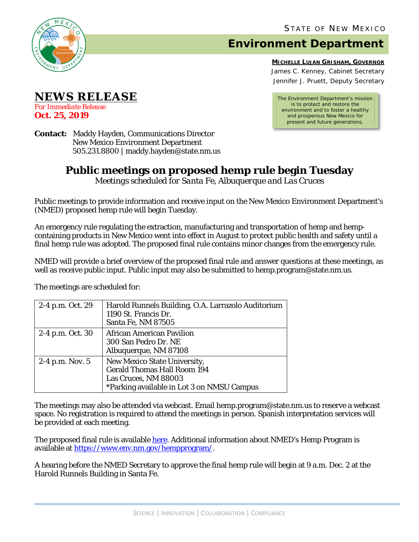

## **Environment Department**

**MICHELLE LUJAN GRISHAM, GOVERNOR** James C. Kenney, Cabinet Secretary Jennifer J. Pruett, Deputy Secretary

*The Environment Department's mission is to protect and restore the environment and to foster a healthy and prosperous New Mexico for present and future generations.*

**Contact:** Maddy Hayden, Communications Director New Mexico Environment Department 505.231.8800 | maddy.hayden@state.nm.us

## **Public meetings on proposed hemp rule begin Tuesday**

*Meetings scheduled for Santa Fe, Albuquerque and Las Cruces*

Public meetings to provide information and receive input on the New Mexico Environment Department's (NMED) proposed hemp rule will begin Tuesday.

An emergency rule regulating the extraction, manufacturing and transportation of hemp and hempcontaining products in New Mexico went into effect in August to protect public health and safety until a final hemp rule was adopted. The proposed final rule contains minor changes from the emergency rule.

NMED will provide a brief overview of the proposed final rule and answer questions at these meetings, as well as receive public input. Public input may also be submitted to hemp.program@state.nm.us.

The meetings are scheduled for:

| 2-4 p.m. Oct. 29  | Harold Runnels Building, O.A. Larrazolo Auditorium<br>1190 St. Francis Dr.<br>Santa Fe, NM 87505                                         |
|-------------------|------------------------------------------------------------------------------------------------------------------------------------------|
| 2-4 p.m. Oct. 30  | African American Pavilion<br>300 San Pedro Dr. NE<br>Albuquerque, NM 87108                                                               |
| $2-4$ p.m. Nov. 5 | New Mexico State University,<br><b>Gerald Thomas Hall Room 194</b><br>Las Cruces, NM 88003<br>*Parking available in Lot 3 on NMSU Campus |

The meetings may also be attended via webcast. Email hemp.program@state.nm.us to reserve a webcast space. No registration is required to attend the meetings in person. Spanish interpretation services will be provided at each meeting.

The proposed final rule is available [here.](https://www.env.nm.gov/wp-content/uploads/sites/13/2019/10/20.10.2-NMAC-Final-Rule-DRAFT-10.9.19.pdf) Additional information about NMED's Hemp Program is available at [https://www.env.nm.gov/hempprogram/.](https://www.env.nm.gov/hempprogram/)

A hearing before the NMED Secretary to approve the final hemp rule will begin at 9 a.m. Dec. 2 at the Harold Runnels Building in Santa Fe.

**Oct. 25, 2019**